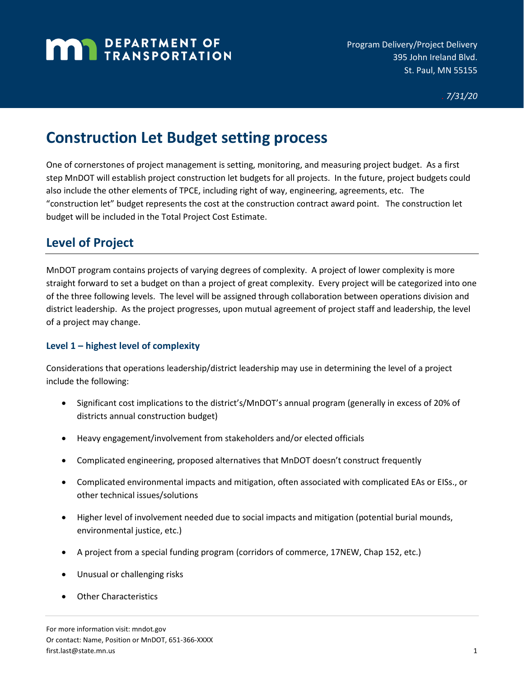# **MAN** DEPARTMENT OF

# **Construction Let Budget setting process**

One of cornerstones of project management is setting, monitoring, and measuring project budget. As a first step MnDOT will establish project construction let budgets for all projects. In the future, project budgets could also include the other elements of TPCE, including right of way, engineering, agreements, etc. The "construction let" budget represents the cost at the construction contract award point. The construction let budget will be included in the Total Project Cost Estimate.

## **Level of Project**

MnDOT program contains projects of varying degrees of complexity. A project of lower complexity is more straight forward to set a budget on than a project of great complexity. Every project will be categorized into one of the three following levels. The level will be assigned through collaboration between operations division and district leadership. As the project progresses, upon mutual agreement of project staff and leadership, the level of a project may change.

#### **Level 1 – highest level of complexity**

Considerations that operations leadership/district leadership may use in determining the level of a project include the following:

- Significant cost implications to the district's/MnDOT's annual program (generally in excess of 20% of districts annual construction budget)
- Heavy engagement/involvement from stakeholders and/or elected officials
- Complicated engineering, proposed alternatives that MnDOT doesn't construct frequently
- Complicated environmental impacts and mitigation, often associated with complicated EAs or EISs., or other technical issues/solutions
- Higher level of involvement needed due to social impacts and mitigation (potential burial mounds, environmental justice, etc.)
- A project from a special funding program (corridors of commerce, 17NEW, Chap 152, etc.)
- Unusual or challenging risks
- Other Characteristics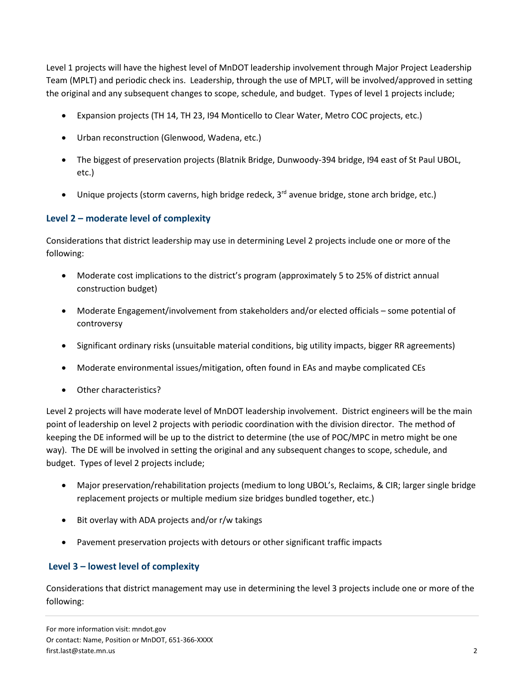Level 1 projects will have the highest level of MnDOT leadership involvement through Major Project Leadership Team (MPLT) and periodic check ins. Leadership, through the use of MPLT, will be involved/approved in setting the original and any subsequent changes to scope, schedule, and budget. Types of level 1 projects include;

- Expansion projects (TH 14, TH 23, I94 Monticello to Clear Water, Metro COC projects, etc.)
- Urban reconstruction (Glenwood, Wadena, etc.)
- The biggest of preservation projects (Blatnik Bridge, Dunwoody-394 bridge, I94 east of St Paul UBOL, etc.)
- Unique projects (storm caverns, high bridge redeck,  $3<sup>rd</sup>$  avenue bridge, stone arch bridge, etc.)

#### **Level 2 – moderate level of complexity**

Considerations that district leadership may use in determining Level 2 projects include one or more of the following:

- Moderate cost implications to the district's program (approximately 5 to 25% of district annual construction budget)
- Moderate Engagement/involvement from stakeholders and/or elected officials some potential of controversy
- Significant ordinary risks (unsuitable material conditions, big utility impacts, bigger RR agreements)
- Moderate environmental issues/mitigation, often found in EAs and maybe complicated CEs
- Other characteristics?

Level 2 projects will have moderate level of MnDOT leadership involvement. District engineers will be the main point of leadership on level 2 projects with periodic coordination with the division director. The method of keeping the DE informed will be up to the district to determine (the use of POC/MPC in metro might be one way). The DE will be involved in setting the original and any subsequent changes to scope, schedule, and budget. Types of level 2 projects include;

- Major preservation/rehabilitation projects (medium to long UBOL's, Reclaims, & CIR; larger single bridge replacement projects or multiple medium size bridges bundled together, etc.)
- Bit overlay with ADA projects and/or r/w takings
- Pavement preservation projects with detours or other significant traffic impacts

#### **Level 3 – lowest level of complexity**

Considerations that district management may use in determining the level 3 projects include one or more of the following: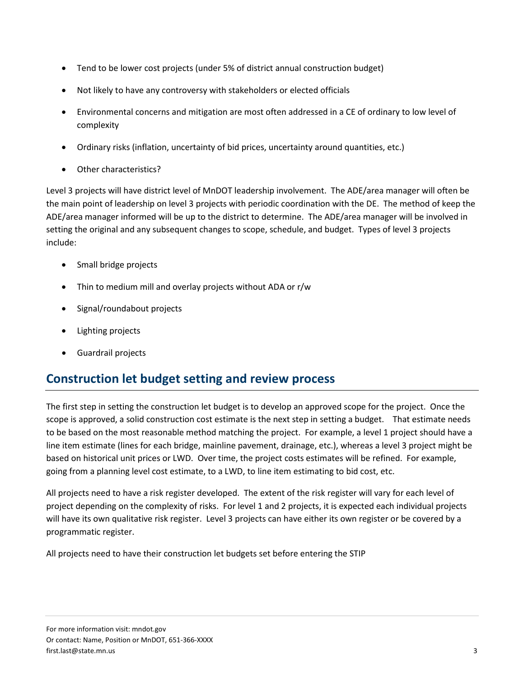- Tend to be lower cost projects (under 5% of district annual construction budget)
- Not likely to have any controversy with stakeholders or elected officials
- Environmental concerns and mitigation are most often addressed in a CE of ordinary to low level of complexity
- Ordinary risks (inflation, uncertainty of bid prices, uncertainty around quantities, etc.)
- Other characteristics?

Level 3 projects will have district level of MnDOT leadership involvement. The ADE/area manager will often be the main point of leadership on level 3 projects with periodic coordination with the DE. The method of keep the ADE/area manager informed will be up to the district to determine. The ADE/area manager will be involved in setting the original and any subsequent changes to scope, schedule, and budget. Types of level 3 projects include:

- Small bridge projects
- Thin to medium mill and overlay projects without ADA or r/w
- Signal/roundabout projects
- Lighting projects
- Guardrail projects

### **Construction let budget setting and review process**

The first step in setting the construction let budget is to develop an approved scope for the project. Once the scope is approved, a solid construction cost estimate is the next step in setting a budget. That estimate needs to be based on the most reasonable method matching the project. For example, a level 1 project should have a line item estimate (lines for each bridge, mainline pavement, drainage, etc.), whereas a level 3 project might be based on historical unit prices or LWD. Over time, the project costs estimates will be refined. For example, going from a planning level cost estimate, to a LWD, to line item estimating to bid cost, etc.

All projects need to have a risk register developed. The extent of the risk register will vary for each level of project depending on the complexity of risks. For level 1 and 2 projects, it is expected each individual projects will have its own qualitative risk register. Level 3 projects can have either its own register or be covered by a programmatic register.

All projects need to have their construction let budgets set before entering the STIP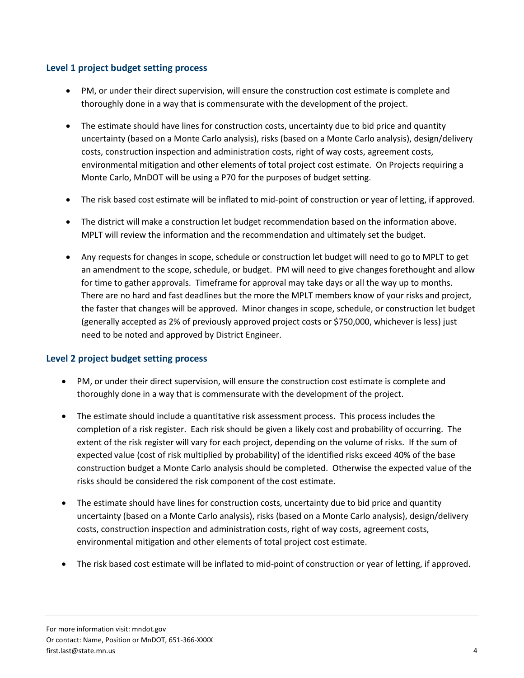#### **Level 1 project budget setting process**

- PM, or under their direct supervision, will ensure the construction cost estimate is complete and thoroughly done in a way that is commensurate with the development of the project.
- The estimate should have lines for construction costs, uncertainty due to bid price and quantity uncertainty (based on a Monte Carlo analysis), risks (based on a Monte Carlo analysis), design/delivery costs, construction inspection and administration costs, right of way costs, agreement costs, environmental mitigation and other elements of total project cost estimate. On Projects requiring a Monte Carlo, MnDOT will be using a P70 for the purposes of budget setting.
- The risk based cost estimate will be inflated to mid-point of construction or year of letting, if approved.
- The district will make a construction let budget recommendation based on the information above. MPLT will review the information and the recommendation and ultimately set the budget.
- Any requests for changes in scope, schedule or construction let budget will need to go to MPLT to get an amendment to the scope, schedule, or budget. PM will need to give changes forethought and allow for time to gather approvals. Timeframe for approval may take days or all the way up to months. There are no hard and fast deadlines but the more the MPLT members know of your risks and project, the faster that changes will be approved. Minor changes in scope, schedule, or construction let budget (generally accepted as 2% of previously approved project costs or \$750,000, whichever is less) just need to be noted and approved by District Engineer.

#### **Level 2 project budget setting process**

- PM, or under their direct supervision, will ensure the construction cost estimate is complete and thoroughly done in a way that is commensurate with the development of the project.
- The estimate should include a quantitative risk assessment process. This process includes the completion of a risk register. Each risk should be given a likely cost and probability of occurring. The extent of the risk register will vary for each project, depending on the volume of risks. If the sum of expected value (cost of risk multiplied by probability) of the identified risks exceed 40% of the base construction budget a Monte Carlo analysis should be completed. Otherwise the expected value of the risks should be considered the risk component of the cost estimate.
- The estimate should have lines for construction costs, uncertainty due to bid price and quantity uncertainty (based on a Monte Carlo analysis), risks (based on a Monte Carlo analysis), design/delivery costs, construction inspection and administration costs, right of way costs, agreement costs, environmental mitigation and other elements of total project cost estimate.
- The risk based cost estimate will be inflated to mid-point of construction or year of letting, if approved.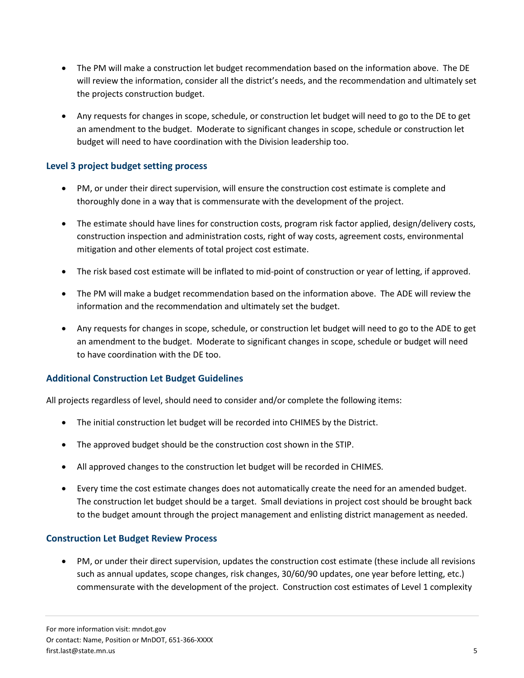- The PM will make a construction let budget recommendation based on the information above. The DE will review the information, consider all the district's needs, and the recommendation and ultimately set the projects construction budget.
- Any requests for changes in scope, schedule, or construction let budget will need to go to the DE to get an amendment to the budget. Moderate to significant changes in scope, schedule or construction let budget will need to have coordination with the Division leadership too.

#### **Level 3 project budget setting process**

- PM, or under their direct supervision, will ensure the construction cost estimate is complete and thoroughly done in a way that is commensurate with the development of the project.
- The estimate should have lines for construction costs, program risk factor applied, design/delivery costs, construction inspection and administration costs, right of way costs, agreement costs, environmental mitigation and other elements of total project cost estimate.
- The risk based cost estimate will be inflated to mid-point of construction or year of letting, if approved.
- The PM will make a budget recommendation based on the information above. The ADE will review the information and the recommendation and ultimately set the budget.
- Any requests for changes in scope, schedule, or construction let budget will need to go to the ADE to get an amendment to the budget. Moderate to significant changes in scope, schedule or budget will need to have coordination with the DE too.

#### **Additional Construction Let Budget Guidelines**

All projects regardless of level, should need to consider and/or complete the following items:

- The initial construction let budget will be recorded into CHIMES by the District.
- The approved budget should be the construction cost shown in the STIP.
- All approved changes to the construction let budget will be recorded in CHIMES.
- Every time the cost estimate changes does not automatically create the need for an amended budget. The construction let budget should be a target. Small deviations in project cost should be brought back to the budget amount through the project management and enlisting district management as needed.

#### **Construction Let Budget Review Process**

• PM, or under their direct supervision, updates the construction cost estimate (these include all revisions such as annual updates, scope changes, risk changes, 30/60/90 updates, one year before letting, etc.) commensurate with the development of the project. Construction cost estimates of Level 1 complexity